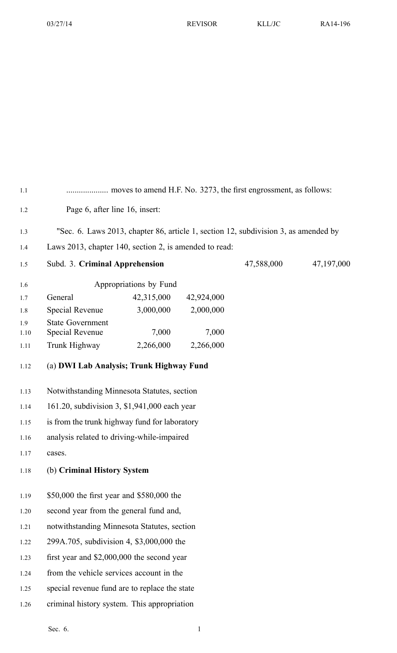| 1.1  |                                                                                     |                                             |            |            |            |
|------|-------------------------------------------------------------------------------------|---------------------------------------------|------------|------------|------------|
| 1.2  | Page 6, after line 16, insert:                                                      |                                             |            |            |            |
| 1.3  | "Sec. 6. Laws 2013, chapter 86, article 1, section 12, subdivision 3, as amended by |                                             |            |            |            |
| 1.4  | Laws 2013, chapter 140, section 2, is amended to read:                              |                                             |            |            |            |
| 1.5  | Subd. 3. Criminal Apprehension                                                      |                                             |            | 47,588,000 | 47,197,000 |
| 1.6  |                                                                                     | Appropriations by Fund                      |            |            |            |
| 1.7  | General                                                                             | 42,315,000                                  | 42,924,000 |            |            |
| 1.8  | <b>Special Revenue</b>                                                              | 3,000,000                                   | 2,000,000  |            |            |
| 1.9  | <b>State Government</b>                                                             |                                             |            |            |            |
| 1.10 | <b>Special Revenue</b>                                                              | 7,000                                       | 7,000      |            |            |
| 1.11 | Trunk Highway                                                                       | 2,266,000                                   | 2,266,000  |            |            |
| 1.12 | (a) DWI Lab Analysis; Trunk Highway Fund                                            |                                             |            |            |            |
| 1.13 | Notwithstanding Minnesota Statutes, section                                         |                                             |            |            |            |
| 1.14 | 161.20, subdivision 3, \$1,941,000 each year                                        |                                             |            |            |            |
| 1.15 | is from the trunk highway fund for laboratory                                       |                                             |            |            |            |
| 1.16 | analysis related to driving-while-impaired                                          |                                             |            |            |            |
| 1.17 | cases.                                                                              |                                             |            |            |            |
| 1.18 | (b) Criminal History System                                                         |                                             |            |            |            |
| 1.19 | \$50,000 the first year and \$580,000 the                                           |                                             |            |            |            |
| 1.20 | second year from the general fund and,                                              |                                             |            |            |            |
| 1.21 |                                                                                     | notwithstanding Minnesota Statutes, section |            |            |            |
| 1.22 | 299A.705, subdivision 4, \$3,000,000 the                                            |                                             |            |            |            |
| 1.23 | first year and $$2,000,000$ the second year                                         |                                             |            |            |            |
| 1.24 | from the vehicle services account in the                                            |                                             |            |            |            |
| 1.25 | special revenue fund are to replace the state                                       |                                             |            |            |            |
| 1.26 | criminal history system. This appropriation                                         |                                             |            |            |            |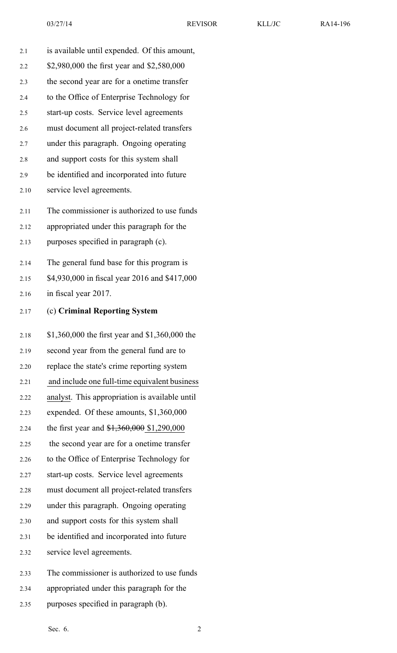| 2.1  | is available until expended. Of this amount,   |
|------|------------------------------------------------|
| 2.2  | \$2,980,000 the first year and \$2,580,000     |
| 2.3  | the second year are for a onetime transfer     |
| 2.4  | to the Office of Enterprise Technology for     |
| 2.5  | start-up costs. Service level agreements       |
| 2.6  | must document all project-related transfers    |
| 2.7  | under this paragraph. Ongoing operating        |
| 2.8  | and support costs for this system shall        |
| 2.9  | be identified and incorporated into future     |
| 2.10 | service level agreements.                      |
| 2.11 | The commissioner is authorized to use funds    |
| 2.12 | appropriated under this paragraph for the      |
| 2.13 | purposes specified in paragraph (c).           |
| 2.14 | The general fund base for this program is      |
| 2.15 | \$4,930,000 in fiscal year 2016 and \$417,000  |
| 2.16 | in fiscal year 2017.                           |
|      |                                                |
| 2.17 | (c) Criminal Reporting System                  |
| 2.18 | \$1,360,000 the first year and \$1,360,000 the |
| 2.19 | second year from the general fund are to       |
| 2.20 | replace the state's crime reporting system     |
| 2.21 | and include one full-time equivalent business  |
| 2.22 | analyst. This appropriation is available until |
| 2.23 | expended. Of these amounts, \$1,360,000        |
| 2.24 | the first year and \$1,360,000 \$1,290,000     |
| 2.25 | the second year are for a onetime transfer     |
| 2.26 | to the Office of Enterprise Technology for     |
| 2.27 | start-up costs. Service level agreements       |
| 2.28 | must document all project-related transfers    |
| 2.29 | under this paragraph. Ongoing operating        |
| 2.30 | and support costs for this system shall        |
| 2.31 | be identified and incorporated into future     |
| 2.32 | service level agreements.                      |

- 2.34 appropriated under this paragraph for the
- 2.35 purposes specified in paragraph (b).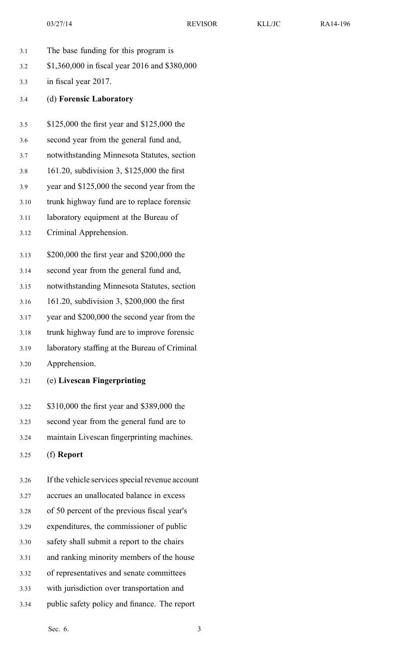- 3.1 The base funding for this program is
- 3.2 \$1,360,000 in fiscal year 2016 and \$380,000
- 3.3 in fiscal year 2017.
- 3.4 (d) **Forensic Laboratory**
- 3.5 \$125,000 the first year and \$125,000 the
- 3.6 second year from the general fund and,
- 3.7 notwithstanding Minnesota Statutes, section
- 3.8 161.20, subdivision 3, \$125,000 the first
- 3.9 year and \$125,000 the second year from the
- 3.10 trunk highway fund are to replace forensic
- 3.11 laboratory equipment at the Bureau of
- 3.12 Criminal Apprehension.
- 3.13 \$200,000 the first year and \$200,000 the
- 3.14 second year from the general fund and,
- 3.15 notwithstanding Minnesota Statutes, section
- 3.16 161.20, subdivision 3, \$200,000 the first
- 3.17 year and \$200,000 the second year from the
- 3.18 trunk highway fund are to improve forensic
- 3.19 laboratory staffing at the Bureau of Criminal
- 3.20 Apprehension.
- 3.21 (e) **Livescan Fingerprinting**
- 3.22 \$310,000 the first year and \$389,000 the
- 3.23 second year from the general fund are to
- 3.24 maintain Livescan fingerprinting machines.
- 3.25 (f) **Report**
- 3.26 If the vehicle services special revenue account
- 3.27 accrues an unallocated balance in excess
- 3.28 of 50 percen<sup>t</sup> of the previous fiscal year's
- 3.29 expenditures, the commissioner of public
- 3.30 safety shall submit <sup>a</sup> repor<sup>t</sup> to the chairs
- 3.31 and ranking minority members of the house
- 3.32 of representatives and senate committees
- 3.33 with jurisdiction over transportation and
- 3.34 public safety policy and finance. The repor<sup>t</sup>